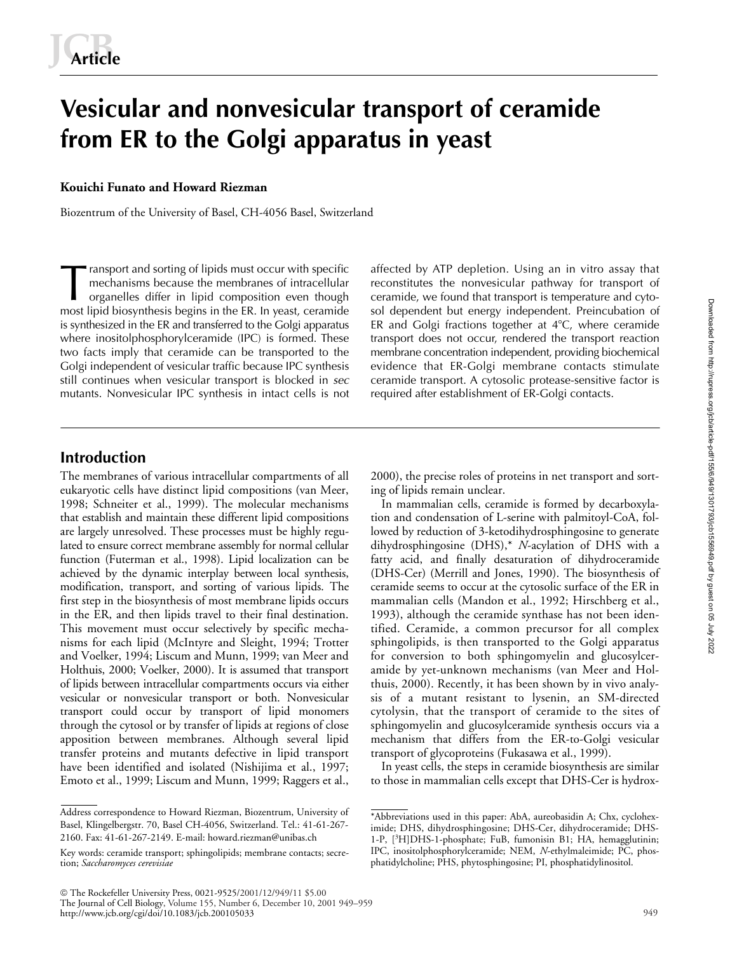# **Vesicular and nonvesicular transport of ceramide from ER to the Golgi apparatus in yeast**

## **Kouichi Funato and Howard Riezman**

Biozentrum of the University of Basel, CH-4056 Basel, Switzerland

ransport and sorting of lipids must occur with specific mechanisms because the membranes of intracellular organelles differ in lipid composition even though most lipid biosynthesis begins in the ER. In yeast, ceramide is synthesized in the ER and transferred to the Golgi apparatus where inositolphosphorylceramide (IPC) is formed. These two facts imply that ceramide can be transported to the Golgi independent of vesicular traffic because IPC synthesis still continues when vesicular transport is blocked in *sec* mutants. Nonvesicular IPC synthesis in intact cells is not affected by ATP depletion. Using an in vitro assay that reconstitutes the nonvesicular pathway for transport of ceramide, we found that transport is temperature and cytosol dependent but energy independent. Preincubation of ER and Golgi fractions together at  $4^{\circ}$ C, where ceramide transport does not occur, rendered the transport reaction membrane concentration independent, providing biochemical evidence that ER-Golgi membrane contacts stimulate ceramide transport. A cytosolic protease-sensitive factor is required after establishment of ER-Golgi contacts.

# **Introduction**

The membranes of various intracellular compartments of all eukaryotic cells have distinct lipid compositions (van Meer, 1998; Schneiter et al., 1999). The molecular mechanisms that establish and maintain these different lipid compositions are largely unresolved. These processes must be highly regulated to ensure correct membrane assembly for normal cellular function (Futerman et al., 1998). Lipid localization can be achieved by the dynamic interplay between local synthesis, modification, transport, and sorting of various lipids. The first step in the biosynthesis of most membrane lipids occurs in the ER, and then lipids travel to their final destination. This movement must occur selectively by specific mechanisms for each lipid (McIntyre and Sleight, 1994; Trotter and Voelker, 1994; Liscum and Munn, 1999; van Meer and Holthuis, 2000; Voelker, 2000). It is assumed that transport of lipids between intracellular compartments occurs via either vesicular or nonvesicular transport or both. Nonvesicular transport could occur by transport of lipid monomers through the cytosol or by transfer of lipids at regions of close apposition between membranes. Although several lipid transfer proteins and mutants defective in lipid transport have been identified and isolated (Nishijima et al., 1997; Emoto et al., 1999; Liscum and Munn, 1999; Raggers et al.,

2000), the precise roles of proteins in net transport and sorting of lipids remain unclear.

In mammalian cells, ceramide is formed by decarboxylation and condensation of L-serine with palmitoyl-CoA, followed by reduction of 3-ketodihydrosphingosine to generate dihydrosphingosine (DHS),\* *N*-acylation of DHS with a fatty acid, and finally desaturation of dihydroceramide (DHS-Cer) (Merrill and Jones, 1990). The biosynthesis of ceramide seems to occur at the cytosolic surface of the ER in mammalian cells (Mandon et al., 1992; Hirschberg et al., 1993), although the ceramide synthase has not been identified. Ceramide, a common precursor for all complex sphingolipids, is then transported to the Golgi apparatus for conversion to both sphingomyelin and glucosylceramide by yet-unknown mechanisms (van Meer and Holthuis, 2000). Recently, it has been shown by in vivo analysis of a mutant resistant to lysenin, an SM-directed cytolysin, that the transport of ceramide to the sites of sphingomyelin and glucosylceramide synthesis occurs via a mechanism that differs from the ER-to-Golgi vesicular transport of glycoproteins (Fukasawa et al., 1999).

In yeast cells, the steps in ceramide biosynthesis are similar to those in mammalian cells except that DHS-Cer is hydroxDownloaded from http://rupress.org/jcb/article-pdf/155/6/949/1301793/jcb1556949.pdf by guest on 05 July 2022

949

Address correspondence to Howard Riezman, Biozentrum, University of Basel, Klingelbergstr. 70, Basel CH-4056, Switzerland. Tel.: 41-61-267- 2160. Fax: 41-61-267-2149. E-mail: howard.riezman@unibas.ch

Key words: ceramide transport; sphingolipids; membrane contacts; secretion; *Saccharomyces cerevisiae*

<sup>\*</sup>Abbreviations used in this paper: AbA, aureobasidin A; Chx, cycloheximide; DHS, dihydrosphingosine; DHS-Cer, dihydroceramide; DHS-1-P, [<sup>3</sup> H]DHS-1-phosphate; FuB, fumonisin B1; HA, hemagglutinin; IPC, inositolphosphorylceramide; NEM, *N*-ethylmaleimide; PC, phosphatidylcholine; PHS, phytosphingosine; PI, phosphatidylinositol.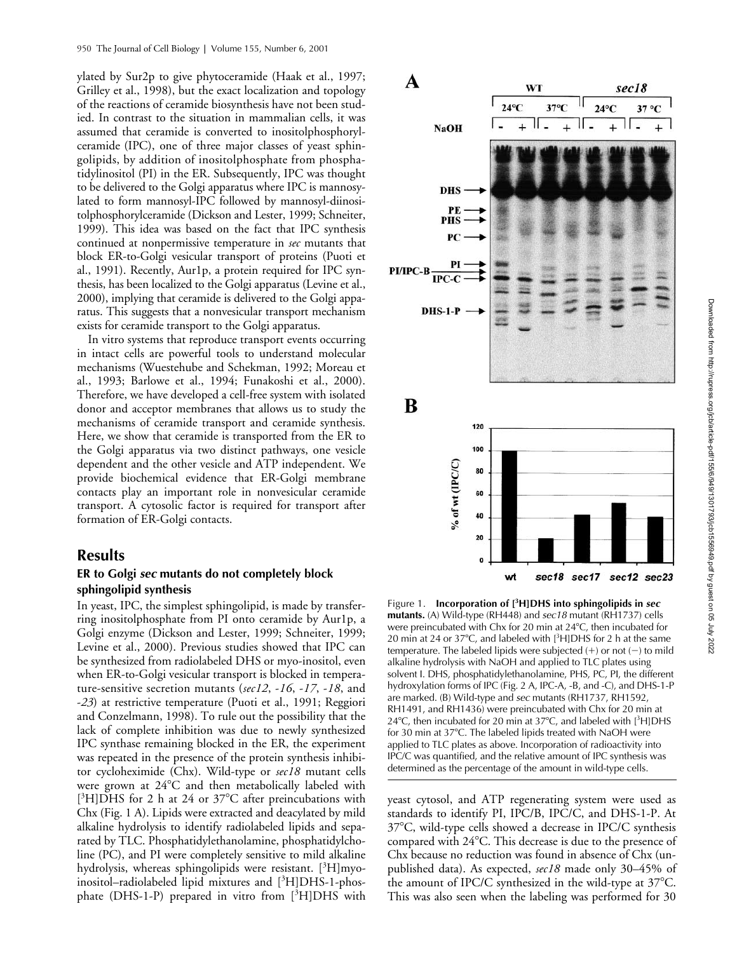ylated by Sur2p to give phytoceramide (Haak et al., 1997; Grilley et al., 1998), but the exact localization and topology of the reactions of ceramide biosynthesis have not been studied. In contrast to the situation in mammalian cells, it was assumed that ceramide is converted to inositolphosphorylceramide (IPC), one of three major classes of yeast sphingolipids, by addition of inositolphosphate from phosphatidylinositol (PI) in the ER. Subsequently, IPC was thought to be delivered to the Golgi apparatus where IPC is mannosylated to form mannosyl-IPC followed by mannosyl-diinositolphosphorylceramide (Dickson and Lester, 1999; Schneiter, 1999). This idea was based on the fact that IPC synthesis continued at nonpermissive temperature in *sec* mutants that block ER-to-Golgi vesicular transport of proteins (Puoti et al., 1991). Recently, Aur1p, a protein required for IPC synthesis, has been localized to the Golgi apparatus (Levine et al., 2000), implying that ceramide is delivered to the Golgi apparatus. This suggests that a nonvesicular transport mechanism exists for ceramide transport to the Golgi apparatus.

In vitro systems that reproduce transport events occurring in intact cells are powerful tools to understand molecular mechanisms (Wuestehube and Schekman, 1992; Moreau et al., 1993; Barlowe et al., 1994; Funakoshi et al., 2000). Therefore, we have developed a cell-free system with isolated donor and acceptor membranes that allows us to study the mechanisms of ceramide transport and ceramide synthesis. Here, we show that ceramide is transported from the ER to the Golgi apparatus via two distinct pathways, one vesicle dependent and the other vesicle and ATP independent. We provide biochemical evidence that ER-Golgi membrane contacts play an important role in nonvesicular ceramide transport. A cytosolic factor is required for transport after formation of ER-Golgi contacts.

## **Results**

## **ER to Golgi** *sec* **mutants do not completely block sphingolipid synthesis**

In yeast, IPC, the simplest sphingolipid, is made by transferring inositolphosphate from PI onto ceramide by Aur1p, a Golgi enzyme (Dickson and Lester, 1999; Schneiter, 1999; Levine et al., 2000). Previous studies showed that IPC can be synthesized from radiolabeled DHS or myo-inositol, even when ER-to-Golgi vesicular transport is blocked in temperature-sensitive secretion mutants (*sec12*, -*16*, -*17*, -*18*, and -*23*) at restrictive temperature (Puoti et al., 1991; Reggiori and Conzelmann, 1998). To rule out the possibility that the lack of complete inhibition was due to newly synthesized IPC synthase remaining blocked in the ER, the experiment was repeated in the presence of the protein synthesis inhibitor cycloheximide (Chx). Wild-type or *sec18* mutant cells were grown at  $24^{\circ}\text{C}$  and then metabolically labeled with [<sup>3</sup>H]DHS for 2 h at 24 or 37°C after preincubations with Chx (Fig. 1 A). Lipids were extracted and deacylated by mild alkaline hydrolysis to identify radiolabeled lipids and separated by TLC. Phosphatidylethanolamine, phosphatidylcholine (PC), and PI were completely sensitive to mild alkaline hydrolysis, whereas sphingolipids were resistant. [<sup>3</sup>H]myoinositol-radiolabeled lipid mixtures and [<sup>3</sup>H]DHS-1-phosphate (DHS-1-P) prepared in vitro from [3H]DHS with



Figure 1. **Incorporation of [<sup>3</sup> H]DHS into sphingolipids in** *sec* **mutants.** (A) Wild-type (RH448) and *sec18* mutant (RH1737) cells were preincubated with Chx for 20 min at 24°C, then incubated for 20 min at 24 or 37 $^{\circ}$ C, and labeled with  $[^{3}H]$ DHS for 2 h at the same temperature. The labeled lipids were subjected  $(+)$  or not  $(-)$  to mild alkaline hydrolysis with NaOH and applied to TLC plates using solvent I. DHS, phosphatidylethanolamine, PHS, PC, PI, the different hydroxylation forms of IPC (Fig. 2 A, IPC-A, -B, and -C), and DHS-1-P are marked. (B) Wild-type and *sec* mutants (RH1737, RH1592, RH1491, and RH1436) were preincubated with Chx for 20 min at  $24^{\circ}$ C, then incubated for 20 min at 37 $^{\circ}$ C, and labeled with  $[3H]$ DHS for 30 min at 37°C. The labeled lipids treated with NaOH were applied to TLC plates as above. Incorporation of radioactivity into IPC/C was quantified, and the relative amount of IPC synthesis was determined as the percentage of the amount in wild-type cells.

yeast cytosol, and ATP regenerating system were used as standards to identify PI, IPC/B, IPC/C, and DHS-1-P. At 37°C, wild-type cells showed a decrease in IPC/C synthesis compared with 24°C. This decrease is due to the presence of Chx because no reduction was found in absence of Chx (unpublished data). As expected, *sec18* made only 30–45% of the amount of IPC/C synthesized in the wild-type at 37°C. This was also seen when the labeling was performed for 30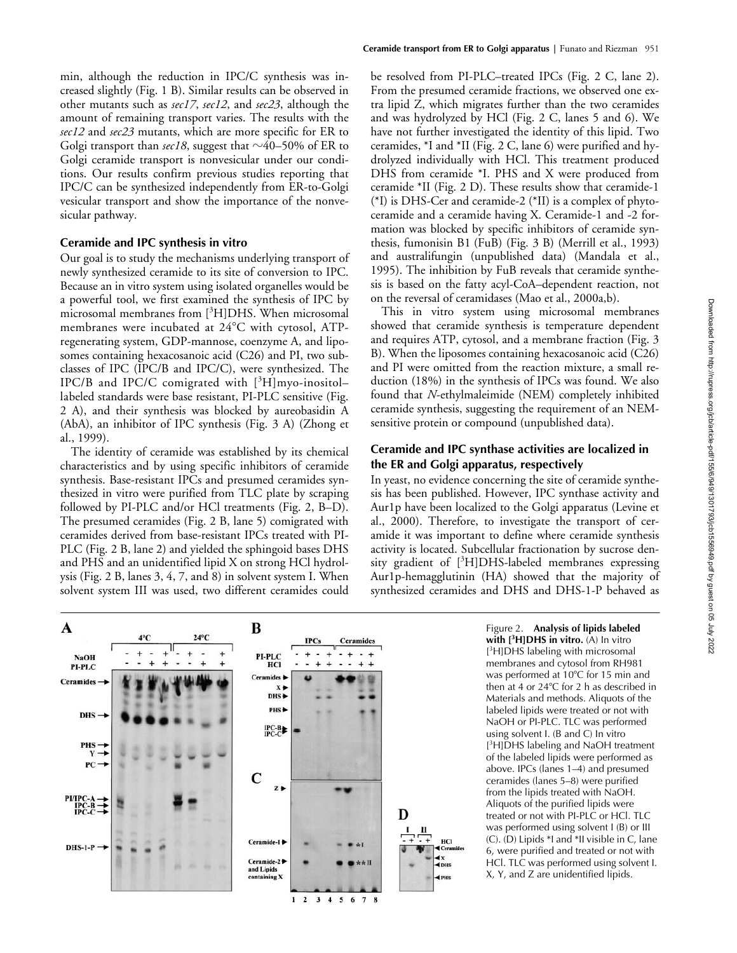min, although the reduction in IPC/C synthesis was increased slightly (Fig. 1 B). Similar results can be observed in other mutants such as *sec17*, *sec12*, and *sec23*, although the amount of remaining transport varies. The results with the *sec12* and *sec23* mutants, which are more specific for ER to Golgi transport than  $\sec 18$ , suggest that  $\sim$ 40–50% of ER to Golgi ceramide transport is nonvesicular under our conditions. Our results confirm previous studies reporting that IPC/C can be synthesized independently from ER-to-Golgi vesicular transport and show the importance of the nonvesicular pathway.

## **Ceramide and IPC synthesis in vitro**

Our goal is to study the mechanisms underlying transport of newly synthesized ceramide to its site of conversion to IPC. Because an in vitro system using isolated organelles would be a powerful tool, we first examined the synthesis of IPC by microsomal membranes from [<sup>3</sup>H]DHS. When microsomal membranes were incubated at 24°C with cytosol, ATPregenerating system, GDP-mannose, coenzyme A, and liposomes containing hexacosanoic acid (C26) and PI, two subclasses of IPC (IPC/B and IPC/C), were synthesized. The IPC/B and IPC/C comigrated with [3H]myo-inositollabeled standards were base resistant, PI-PLC sensitive (Fig. 2 A), and their synthesis was blocked by aureobasidin A (AbA), an inhibitor of IPC synthesis (Fig. 3 A) (Zhong et al., 1999).

The identity of ceramide was established by its chemical characteristics and by using specific inhibitors of ceramide synthesis. Base-resistant IPCs and presumed ceramides synthesized in vitro were purified from TLC plate by scraping followed by PI-PLC and/or HCl treatments (Fig. 2, B–D). The presumed ceramides (Fig. 2 B, lane 5) comigrated with ceramides derived from base-resistant IPCs treated with PI-PLC (Fig. 2 B, lane 2) and yielded the sphingoid bases DHS and PHS and an unidentified lipid X on strong HCl hydrolysis (Fig. 2 B, lanes 3, 4, 7, and 8) in solvent system I. When solvent system III was used, two different ceramides could

be resolved from PI-PLC–treated IPCs (Fig. 2 C, lane 2). From the presumed ceramide fractions, we observed one extra lipid Z, which migrates further than the two ceramides and was hydrolyzed by HCl (Fig. 2 C, lanes 5 and 6). We have not further investigated the identity of this lipid. Two ceramides, \*I and \*II (Fig. 2 C, lane 6) were purified and hydrolyzed individually with HCl. This treatment produced DHS from ceramide \*I. PHS and X were produced from ceramide \*II (Fig. 2 D). These results show that ceramide-1 (\*I) is DHS-Cer and ceramide-2 (\*II) is a complex of phytoceramide and a ceramide having X. Ceramide-1 and -2 formation was blocked by specific inhibitors of ceramide synthesis, fumonisin B1 (FuB) (Fig. 3 B) (Merrill et al., 1993) and australifungin (unpublished data) (Mandala et al., 1995). The inhibition by FuB reveals that ceramide synthesis is based on the fatty acyl-CoA–dependent reaction, not on the reversal of ceramidases (Mao et al., 2000a,b).

This in vitro system using microsomal membranes showed that ceramide synthesis is temperature dependent and requires ATP, cytosol, and a membrane fraction (Fig. 3 B). When the liposomes containing hexacosanoic acid (C26) and PI were omitted from the reaction mixture, a small reduction (18%) in the synthesis of IPCs was found. We also found that *N*-ethylmaleimide (NEM) completely inhibited ceramide synthesis, suggesting the requirement of an NEMsensitive protein or compound (unpublished data).

## **Ceramide and IPC synthase activities are localized in the ER and Golgi apparatus, respectively**

In yeast, no evidence concerning the site of ceramide synthesis has been published. However, IPC synthase activity and Aur1p have been localized to the Golgi apparatus (Levine et al., 2000). Therefore, to investigate the transport of ceramide it was important to define where ceramide synthesis activity is located. Subcellular fractionation by sucrose density gradient of [<sup>3</sup>H]DHS-labeled membranes expressing Aur1p-hemagglutinin (HA) showed that the majority of synthesized ceramides and DHS and DHS-1-P behaved as

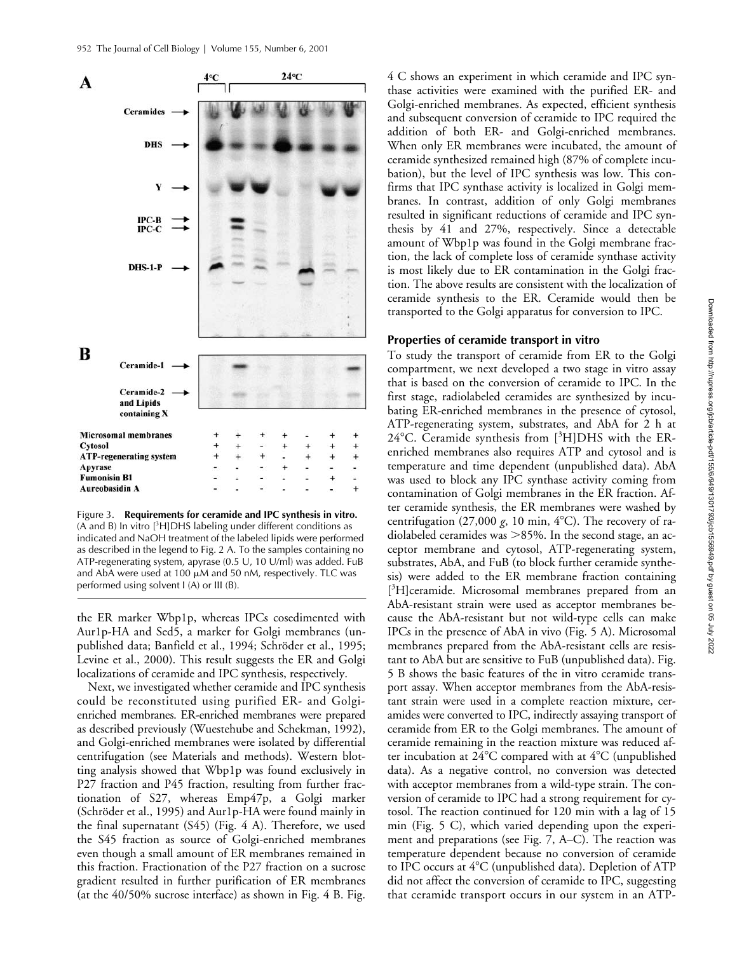

Figure 3. **Requirements for ceramide and IPC synthesis in vitro.**  $(A \text{ and } B)$  In vitro  $[{}^{3}H]$ DHS labeling under different conditions as indicated and NaOH treatment of the labeled lipids were performed as described in the legend to Fig. 2 A. To the samples containing no ATP-regenerating system, apyrase (0.5 U, 10 U/ml) was added. FuB and AbA were used at 100  $\mu$ M and 50 nM, respectively. TLC was performed using solvent I (A) or III (B).

the ER marker Wbp1p, whereas IPCs cosedimented with Aur1p-HA and Sed5, a marker for Golgi membranes (unpublished data; Banfield et al., 1994; Schröder et al., 1995; Levine et al., 2000). This result suggests the ER and Golgi localizations of ceramide and IPC synthesis, respectively.

Next, we investigated whether ceramide and IPC synthesis could be reconstituted using purified ER- and Golgienriched membranes. ER-enriched membranes were prepared as described previously (Wuestehube and Schekman, 1992), and Golgi-enriched membranes were isolated by differential centrifugation (see Materials and methods). Western blotting analysis showed that Wbp1p was found exclusively in P27 fraction and P45 fraction, resulting from further fractionation of S27, whereas Emp47p, a Golgi marker (Schröder et al., 1995) and Aur1p-HA were found mainly in the final supernatant (S45) (Fig. 4 A). Therefore, we used the S45 fraction as source of Golgi-enriched membranes even though a small amount of ER membranes remained in this fraction. Fractionation of the P27 fraction on a sucrose gradient resulted in further purification of ER membranes (at the 40/50% sucrose interface) as shown in Fig. 4 B. Fig.

4 C shows an experiment in which ceramide and IPC synthase activities were examined with the purified ER- and Golgi-enriched membranes. As expected, efficient synthesis and subsequent conversion of ceramide to IPC required the addition of both ER- and Golgi-enriched membranes. When only ER membranes were incubated, the amount of ceramide synthesized remained high (87% of complete incubation), but the level of IPC synthesis was low. This confirms that IPC synthase activity is localized in Golgi membranes. In contrast, addition of only Golgi membranes resulted in significant reductions of ceramide and IPC synthesis by 41 and 27%, respectively. Since a detectable amount of Wbp1p was found in the Golgi membrane fraction, the lack of complete loss of ceramide synthase activity is most likely due to ER contamination in the Golgi fraction. The above results are consistent with the localization of ceramide synthesis to the ER. Ceramide would then be transported to the Golgi apparatus for conversion to IPC.

## **Properties of ceramide transport in vitro**

To study the transport of ceramide from ER to the Golgi compartment, we next developed a two stage in vitro assay that is based on the conversion of ceramide to IPC. In the first stage, radiolabeled ceramides are synthesized by incubating ER-enriched membranes in the presence of cytosol, ATP-regenerating system, substrates, and AbA for 2 h at 24°C. Ceramide synthesis from [3H]DHS with the ERenriched membranes also requires ATP and cytosol and is temperature and time dependent (unpublished data). AbA was used to block any IPC synthase activity coming from contamination of Golgi membranes in the ER fraction. After ceramide synthesis, the ER membranes were washed by centrifugation (27,000 g, 10 min, 4°C). The recovery of radiolabeled ceramides was  $>85%$ . In the second stage, an acceptor membrane and cytosol, ATP-regenerating system, substrates, AbA, and FuB (to block further ceramide synthesis) were added to the ER membrane fraction containing [ 3 H]ceramide. Microsomal membranes prepared from an AbA-resistant strain were used as acceptor membranes because the AbA-resistant but not wild-type cells can make IPCs in the presence of AbA in vivo (Fig. 5 A). Microsomal membranes prepared from the AbA-resistant cells are resistant to AbA but are sensitive to FuB (unpublished data). Fig. 5 B shows the basic features of the in vitro ceramide transport assay. When acceptor membranes from the AbA-resistant strain were used in a complete reaction mixture, ceramides were converted to IPC, indirectly assaying transport of ceramide from ER to the Golgi membranes. The amount of ceramide remaining in the reaction mixture was reduced after incubation at 24°C compared with at 4°C (unpublished data). As a negative control, no conversion was detected with acceptor membranes from a wild-type strain. The conversion of ceramide to IPC had a strong requirement for cytosol. The reaction continued for 120 min with a lag of 15 min (Fig. 5 C), which varied depending upon the experiment and preparations (see Fig. 7, A–C). The reaction was temperature dependent because no conversion of ceramide to IPC occurs at 4°C (unpublished data). Depletion of ATP did not affect the conversion of ceramide to IPC, suggesting that ceramide transport occurs in our system in an ATP-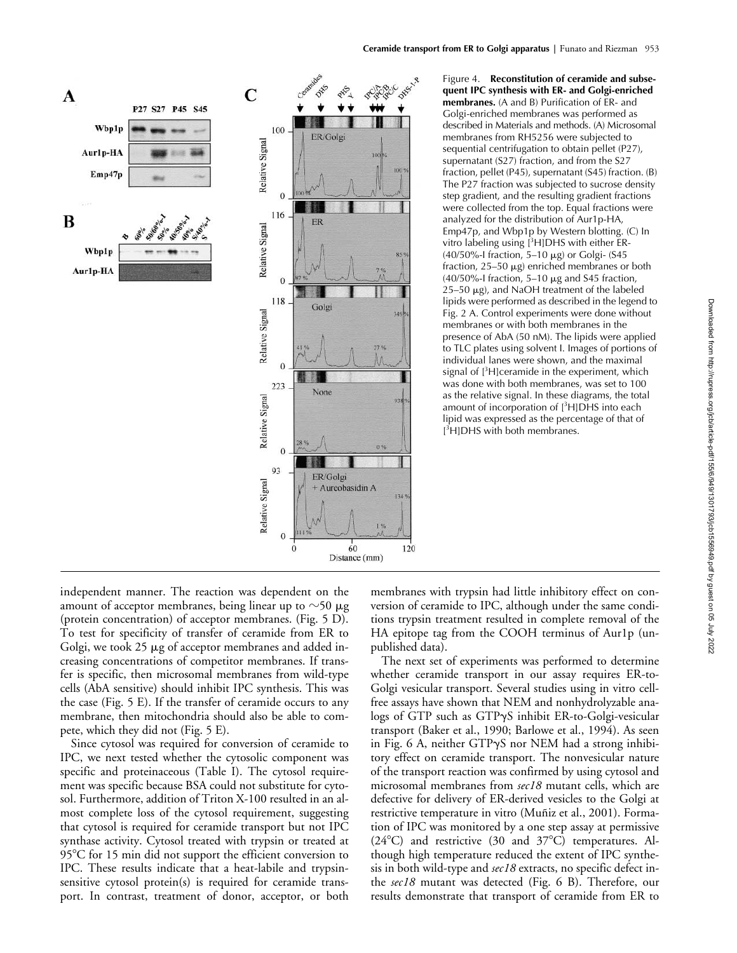

Figure 4. **Reconstitution of ceramide and subsequent IPC synthesis with ER- and Golgi-enriched membranes.** (A and B) Purification of ER- and Golgi-enriched membranes was performed as described in Materials and methods. (A) Microsomal membranes from RH5256 were subjected to sequential centrifugation to obtain pellet (P27), supernatant (S27) fraction, and from the S27 fraction, pellet (P45), supernatant (S45) fraction. (B) The P27 fraction was subjected to sucrose density step gradient, and the resulting gradient fractions were collected from the top. Equal fractions were analyzed for the distribution of Aur1p-HA, Emp47p, and Wbp1p by Western blotting. (C) In vitro labeling using [<sup>3</sup>H]DHS with either ER-(40/50%-I fraction, 5-10  $\mu$ g) or Golgi- (S45 fraction,  $25-50 \mu g$ ) enriched membranes or both (40/50%-I fraction, 5–10  $\mu$ g and S45 fraction,  $25-50 \mu$ g), and NaOH treatment of the labeled lipids were performed as described in the legend to Fig. 2 A. Control experiments were done without membranes or with both membranes in the presence of AbA (50 nM). The lipids were applied to TLC plates using solvent I. Images of portions of individual lanes were shown, and the maximal signal of [<sup>3</sup>H]ceramide in the experiment, which was done with both membranes, was set to 100 as the relative signal. In these diagrams, the total amount of incorporation of [<sup>3</sup>H]DHS into each lipid was expressed as the percentage of that of [ 3 H]DHS with both membranes.

independent manner. The reaction was dependent on the amount of acceptor membranes, being linear up to  ${\sim}50$   $\mu\text{g}$ (protein concentration) of acceptor membranes. (Fig. 5 D). To test for specificity of transfer of ceramide from ER to Golgi, we took 25  $\mu$ g of acceptor membranes and added increasing concentrations of competitor membranes. If transfer is specific, then microsomal membranes from wild-type cells (AbA sensitive) should inhibit IPC synthesis. This was the case (Fig. 5 E). If the transfer of ceramide occurs to any membrane, then mitochondria should also be able to compete, which they did not (Fig. 5 E).

Since cytosol was required for conversion of ceramide to IPC, we next tested whether the cytosolic component was specific and proteinaceous (Table I). The cytosol requirement was specific because BSA could not substitute for cytosol. Furthermore, addition of Triton X-100 resulted in an almost complete loss of the cytosol requirement, suggesting that cytosol is required for ceramide transport but not IPC synthase activity. Cytosol treated with trypsin or treated at 95°C for 15 min did not support the efficient conversion to IPC. These results indicate that a heat-labile and trypsinsensitive cytosol protein(s) is required for ceramide transport. In contrast, treatment of donor, acceptor, or both membranes with trypsin had little inhibitory effect on conversion of ceramide to IPC, although under the same conditions trypsin treatment resulted in complete removal of the HA epitope tag from the COOH terminus of Aur1p (unpublished data).

The next set of experiments was performed to determine whether ceramide transport in our assay requires ER-to-Golgi vesicular transport. Several studies using in vitro cellfree assays have shown that NEM and nonhydrolyzable ana- $\log s$  of GTP such as GTP $\gamma$ S inhibit ER-to-Golgi-vesicular transport (Baker et al., 1990; Barlowe et al., 1994). As seen in Fig. 6 A, neither  $GTP\gamma S$  nor NEM had a strong inhibitory effect on ceramide transport. The nonvesicular nature of the transport reaction was confirmed by using cytosol and microsomal membranes from *sec18* mutant cells, which are defective for delivery of ER-derived vesicles to the Golgi at restrictive temperature in vitro (Muñiz et al., 2001). Formation of IPC was monitored by a one step assay at permissive (24°C) and restrictive (30 and 37°C) temperatures. Although high temperature reduced the extent of IPC synthesis in both wild-type and *sec18* extracts, no specific defect inthe *sec18* mutant was detected (Fig. 6 B). Therefore, our results demonstrate that transport of ceramide from ER to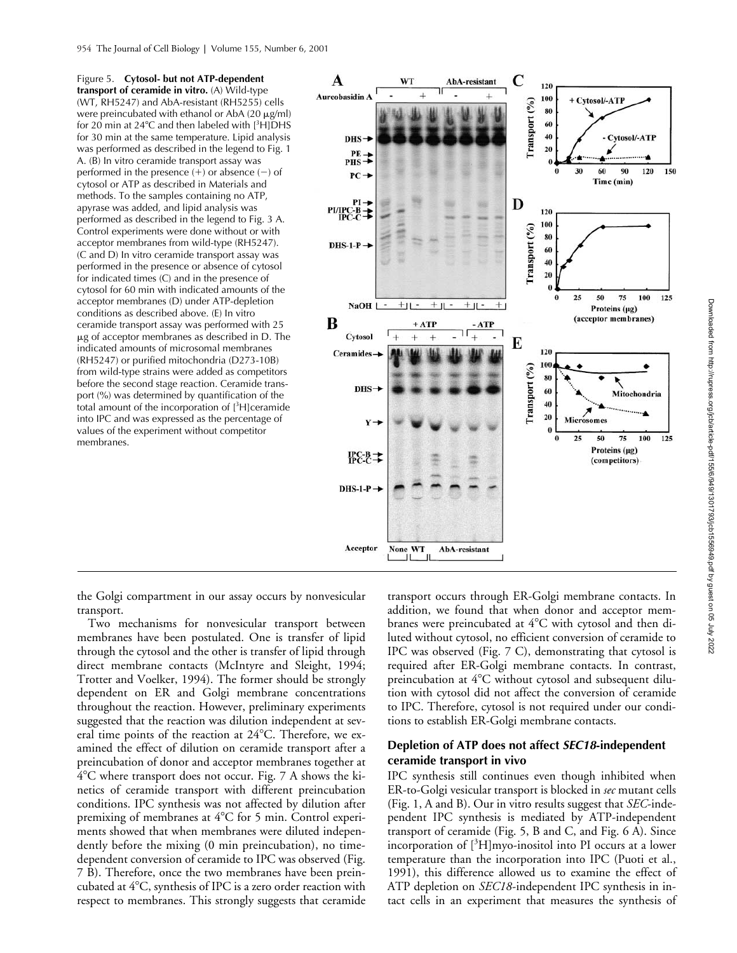Figure 5. **Cytosol- but not ATP-dependent transport of ceramide in vitro.** (A) Wild-type (WT, RH5247) and AbA-resistant (RH5255) cells were preincubated with ethanol or AbA (20  $\mu$ g/ml) for 20 min at 24 $\degree$ C and then labeled with  $[^{3}H]$ DHS for 30 min at the same temperature. Lipid analysis was performed as described in the legend to Fig. 1 A. (B) In vitro ceramide transport assay was performed in the presence  $(+)$  or absence  $(-)$  of cytosol or ATP as described in Materials and methods. To the samples containing no ATP, apyrase was added, and lipid analysis was performed as described in the legend to Fig. 3 A. Control experiments were done without or with acceptor membranes from wild-type (RH5247). (C and D) In vitro ceramide transport assay was performed in the presence or absence of cytosol for indicated times (C) and in the presence of cytosol for 60 min with indicated amounts of the acceptor membranes (D) under ATP-depletion conditions as described above. (E) In vitro ceramide transport assay was performed with 25  $\mu$ g of acceptor membranes as described in D. The indicated amounts of microsomal membranes (RH5247) or purified mitochondria (D273-10B) from wild-type strains were added as competitors before the second stage reaction. Ceramide transport (%) was determined by quantification of the total amount of the incorporation of  $[^{3}H]$ ceramide into IPC and was expressed as the percentage of values of the experiment without competitor membranes.



the Golgi compartment in our assay occurs by nonvesicular transport.

Two mechanisms for nonvesicular transport between membranes have been postulated. One is transfer of lipid through the cytosol and the other is transfer of lipid through direct membrane contacts (McIntyre and Sleight, 1994; Trotter and Voelker, 1994). The former should be strongly dependent on ER and Golgi membrane concentrations throughout the reaction. However, preliminary experiments suggested that the reaction was dilution independent at several time points of the reaction at 24°C. Therefore, we examined the effect of dilution on ceramide transport after a preincubation of donor and acceptor membranes together at 4°C where transport does not occur. Fig. 7 A shows the kinetics of ceramide transport with different preincubation conditions. IPC synthesis was not affected by dilution after premixing of membranes at 4°C for 5 min. Control experiments showed that when membranes were diluted independently before the mixing (0 min preincubation), no timedependent conversion of ceramide to IPC was observed (Fig. 7 B). Therefore, once the two membranes have been preincubated at 4°C, synthesis of IPC is a zero order reaction with respect to membranes. This strongly suggests that ceramide

transport occurs through ER-Golgi membrane contacts. In addition, we found that when donor and acceptor membranes were preincubated at  $4^{\circ}\mathrm{C}$  with cytosol and then diluted without cytosol, no efficient conversion of ceramide to IPC was observed (Fig. 7 C), demonstrating that cytosol is required after ER-Golgi membrane contacts. In contrast, preincubation at 4°C without cytosol and subsequent dilution with cytosol did not affect the conversion of ceramide to IPC. Therefore, cytosol is not required under our conditions to establish ER-Golgi membrane contacts.

## **Depletion of ATP does not affect** *SEC18***-independent ceramide transport in vivo**

IPC synthesis still continues even though inhibited when ER-to-Golgi vesicular transport is blocked in *sec* mutant cells (Fig. 1, A and B). Our in vitro results suggest that *SEC*-independent IPC synthesis is mediated by ATP-independent transport of ceramide (Fig. 5, B and C, and Fig. 6 A). Since incorporation of [<sup>3</sup> H]myo-inositol into PI occurs at a lower temperature than the incorporation into IPC (Puoti et al., 1991), this difference allowed us to examine the effect of ATP depletion on *SEC18*-independent IPC synthesis in intact cells in an experiment that measures the synthesis of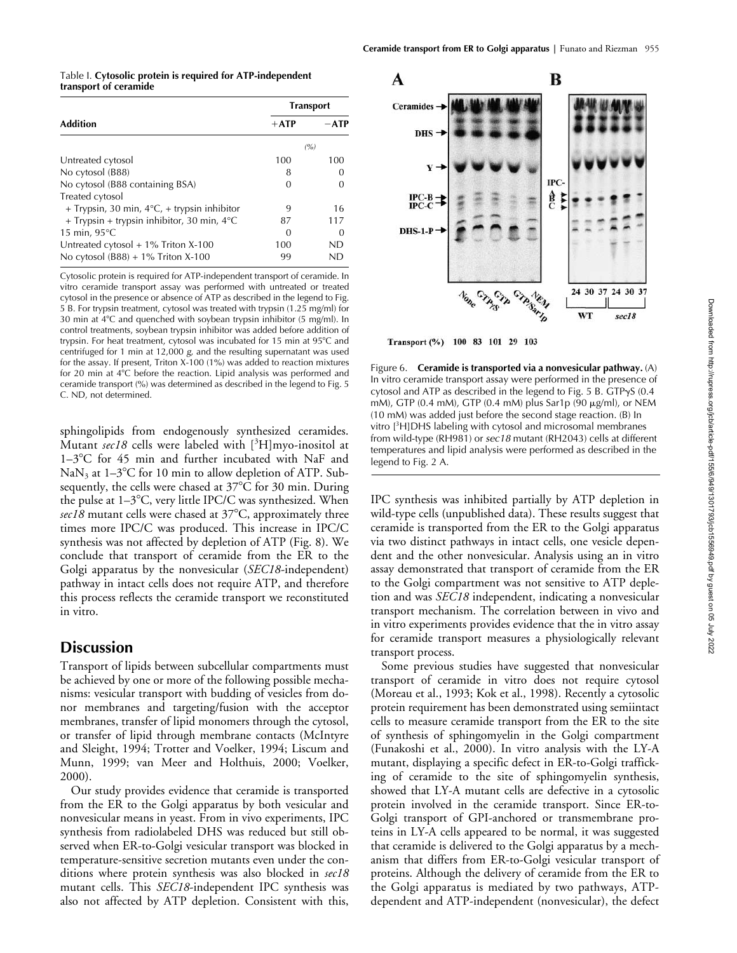| Table I. Cytosolic protein is required for ATP-independent |  |
|------------------------------------------------------------|--|
| transport of ceramide                                      |  |

|                                                       | <b>Transport</b> |          |
|-------------------------------------------------------|------------------|----------|
| <b>Addition</b>                                       | $+ATP$           | $-ATP$   |
|                                                       | (%)              |          |
| Untreated cytosol                                     | 100              | 100      |
| No cytosol (B88)                                      | 8                |          |
| No cytosol (B88 containing BSA)                       | 0                |          |
| Treated cytosol                                       |                  |          |
| + Trypsin, 30 min, $4^{\circ}C$ , + trypsin inhibitor | 9                | 16       |
| + Trypsin + trypsin inhibitor, 30 min, $4^{\circ}$ C  | 87               | 117      |
| 15 min, $95^{\circ}$ C                                | 0                | $\theta$ |
| Untreated cytosol $+1\%$ Triton X-100                 | 100              | ND       |
| No cytosol $(B88) + 1\%$ Triton X-100                 | 99               | ND       |

Cytosolic protein is required for ATP-independent transport of ceramide. In vitro ceramide transport assay was performed with untreated or treated cytosol in the presence or absence of ATP as described in the legend to Fig. 5 B. For trypsin treatment, cytosol was treated with trypsin (1.25 mg/ml) for 30 min at 4°C and quenched with soybean trypsin inhibitor (5 mg/ml). In control treatments, soybean trypsin inhibitor was added before addition of trypsin. For heat treatment, cytosol was incubated for 15 min at 95°C and centrifuged for 1 min at 12,000 *g*, and the resulting supernatant was used for the assay. If present, Triton X-100 (1%) was added to reaction mixtures for 20 min at 4°C before the reaction. Lipid analysis was performed and ceramide transport (%) was determined as described in the legend to Fig. 5 C. ND, not determined.

sphingolipids from endogenously synthesized ceramides. Mutant *sec18* cells were labeled with [<sup>3</sup> H]myo-inositol at 1-3°C for 45 min and further incubated with NaF and  $\text{Na}\text{N}_3$  at 1–3°C for 10 min to allow depletion of ATP. Subsequently, the cells were chased at 37°C for 30 min. During the pulse at 1–3°C, very little IPC/C was synthesized. When *sec18* mutant cells were chased at 37-C, approximately three times more IPC/C was produced. This increase in IPC/C synthesis was not affected by depletion of ATP (Fig. 8). We conclude that transport of ceramide from the ER to the Golgi apparatus by the nonvesicular (*SEC18*-independent) pathway in intact cells does not require ATP, and therefore this process reflects the ceramide transport we reconstituted in vitro.

# **Discussion**

Transport of lipids between subcellular compartments must be achieved by one or more of the following possible mechanisms: vesicular transport with budding of vesicles from donor membranes and targeting/fusion with the acceptor membranes, transfer of lipid monomers through the cytosol, or transfer of lipid through membrane contacts (McIntyre and Sleight, 1994; Trotter and Voelker, 1994; Liscum and Munn, 1999; van Meer and Holthuis, 2000; Voelker, 2000).

Our study provides evidence that ceramide is transported from the ER to the Golgi apparatus by both vesicular and nonvesicular means in yeast. From in vivo experiments, IPC synthesis from radiolabeled DHS was reduced but still observed when ER-to-Golgi vesicular transport was blocked in temperature-sensitive secretion mutants even under the conditions where protein synthesis was also blocked in *sec18* mutant cells. This *SEC18*-independent IPC synthesis was also not affected by ATP depletion. Consistent with this,



Transport (%) 100 83 101 29 103

Figure 6. **Ceramide is transported via a nonvesicular pathway.** (A) In vitro ceramide transport assay were performed in the presence of cytosol and ATP as described in the legend to Fig. 5 B.  $GTP\gamma S$  (0.4 mM), GTP (0.4 mM), GTP (0.4 mM) plus Sar1p (90  $\mu$ g/ml), or NEM (10 mM) was added just before the second stage reaction. (B) In vitro [3 H]DHS labeling with cytosol and microsomal membranes from wild-type (RH981) or *sec18* mutant (RH2043) cells at different temperatures and lipid analysis were performed as described in the legend to Fig. 2 A.

IPC synthesis was inhibited partially by ATP depletion in wild-type cells (unpublished data). These results suggest that ceramide is transported from the ER to the Golgi apparatus via two distinct pathways in intact cells, one vesicle dependent and the other nonvesicular. Analysis using an in vitro assay demonstrated that transport of ceramide from the ER to the Golgi compartment was not sensitive to ATP depletion and was *SEC18* independent, indicating a nonvesicular transport mechanism. The correlation between in vivo and in vitro experiments provides evidence that the in vitro assay for ceramide transport measures a physiologically relevant transport process.

Some previous studies have suggested that nonvesicular transport of ceramide in vitro does not require cytosol (Moreau et al., 1993; Kok et al., 1998). Recently a cytosolic protein requirement has been demonstrated using semiintact cells to measure ceramide transport from the ER to the site of synthesis of sphingomyelin in the Golgi compartment (Funakoshi et al., 2000). In vitro analysis with the LY-A mutant, displaying a specific defect in ER-to-Golgi trafficking of ceramide to the site of sphingomyelin synthesis, showed that LY-A mutant cells are defective in a cytosolic protein involved in the ceramide transport. Since ER-to-Golgi transport of GPI-anchored or transmembrane proteins in LY-A cells appeared to be normal, it was suggested that ceramide is delivered to the Golgi apparatus by a mechanism that differs from ER-to-Golgi vesicular transport of proteins. Although the delivery of ceramide from the ER to the Golgi apparatus is mediated by two pathways, ATPdependent and ATP-independent (nonvesicular), the defect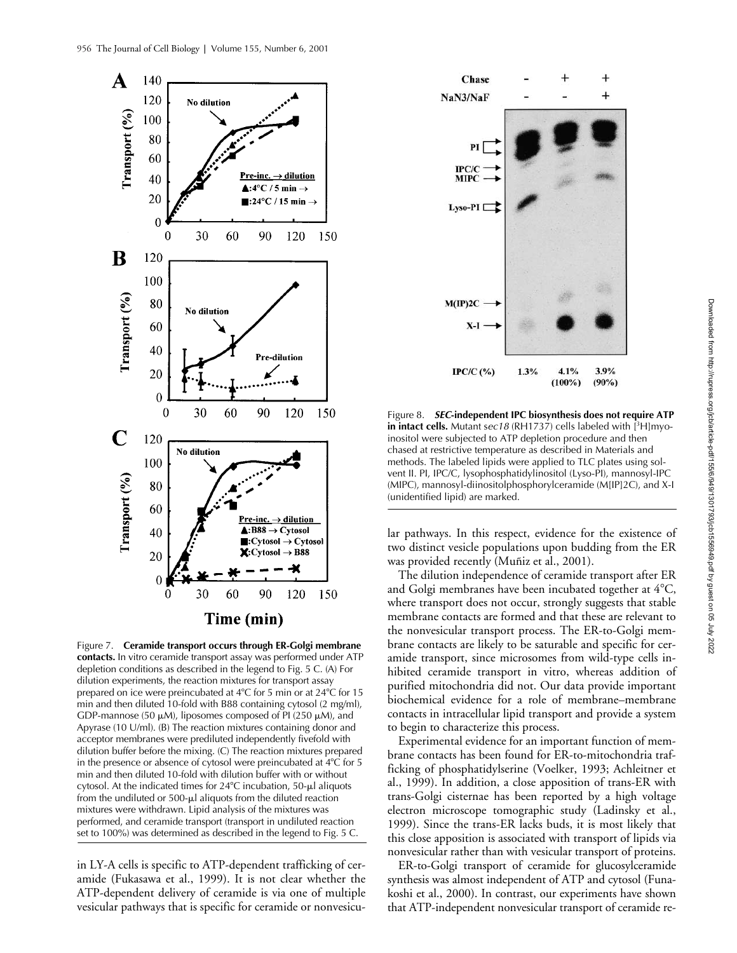

Figure 7. **Ceramide transport occurs through ER-Golgi membrane contacts.** In vitro ceramide transport assay was performed under ATP depletion conditions as described in the legend to Fig. 5 C. (A) For dilution experiments, the reaction mixtures for transport assay prepared on ice were preincubated at  $4^{\circ}$ C for 5 min or at  $24^{\circ}$ C for 15 min and then diluted 10-fold with B88 containing cytosol (2 mg/ml), GDP-mannose (50  $\mu$ M), liposomes composed of PI (250  $\mu$ M), and Apyrase (10 U/ml). (B) The reaction mixtures containing donor and acceptor membranes were prediluted independently fivefold with dilution buffer before the mixing. (C) The reaction mixtures prepared in the presence or absence of cytosol were preincubated at  $4^{\circ}$ C for 5 min and then diluted 10-fold with dilution buffer with or without cytosol. At the indicated times for  $24^{\circ}$ C incubation, 50- $\mu$ l aliquots from the undiluted or  $500-\mu l$  aliquots from the diluted reaction mixtures were withdrawn. Lipid analysis of the mixtures was performed, and ceramide transport (transport in undiluted reaction set to 100%) was determined as described in the legend to Fig. 5 C.

in LY-A cells is specific to ATP-dependent trafficking of ceramide (Fukasawa et al., 1999). It is not clear whether the ATP-dependent delivery of ceramide is via one of multiple vesicular pathways that is specific for ceramide or nonvesicu-



Figure 8. *SEC***-independent IPC biosynthesis does not require ATP in intact cells.** Mutant sec18 (RH1737) cells labeled with [<sup>3</sup>H]myoinositol were subjected to ATP depletion procedure and then chased at restrictive temperature as described in Materials and methods. The labeled lipids were applied to TLC plates using solvent II. PI, IPC/C, lysophosphatidylinositol (Lyso-PI), mannosyl-IPC (MIPC), mannosyl-diinositolphosphorylceramide (M[IP]2C), and X-I (unidentified lipid) are marked.

lar pathways. In this respect, evidence for the existence of two distinct vesicle populations upon budding from the ER was provided recently (Muñiz et al., 2001).

The dilution independence of ceramide transport after ER and Golgi membranes have been incubated together at  $4^{\circ}\textrm{C},$ where transport does not occur, strongly suggests that stable membrane contacts are formed and that these are relevant to the nonvesicular transport process. The ER-to-Golgi membrane contacts are likely to be saturable and specific for ceramide transport, since microsomes from wild-type cells inhibited ceramide transport in vitro, whereas addition of purified mitochondria did not. Our data provide important biochemical evidence for a role of membrane–membrane contacts in intracellular lipid transport and provide a system to begin to characterize this process.

Experimental evidence for an important function of membrane contacts has been found for ER-to-mitochondria trafficking of phosphatidylserine (Voelker, 1993; Achleitner et al., 1999). In addition, a close apposition of trans-ER with trans-Golgi cisternae has been reported by a high voltage electron microscope tomographic study (Ladinsky et al., 1999). Since the trans-ER lacks buds, it is most likely that this close apposition is associated with transport of lipids via nonvesicular rather than with vesicular transport of proteins.

ER-to-Golgi transport of ceramide for glucosylceramide synthesis was almost independent of ATP and cytosol (Funakoshi et al., 2000). In contrast, our experiments have shown that ATP-independent nonvesicular transport of ceramide re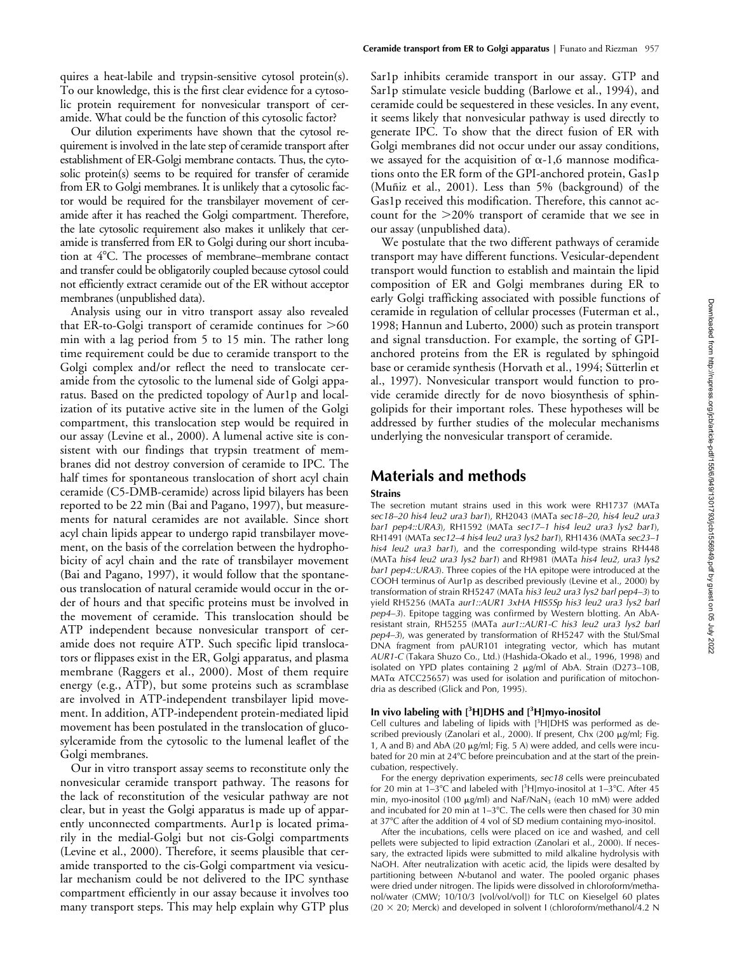quires a heat-labile and trypsin-sensitive cytosol protein(s). To our knowledge, this is the first clear evidence for a cytosolic protein requirement for nonvesicular transport of ceramide. What could be the function of this cytosolic factor?

Our dilution experiments have shown that the cytosol requirement is involved in the late step of ceramide transport after establishment of ER-Golgi membrane contacts. Thus, the cytosolic protein(s) seems to be required for transfer of ceramide from ER to Golgi membranes. It is unlikely that a cytosolic factor would be required for the transbilayer movement of ceramide after it has reached the Golgi compartment. Therefore, the late cytosolic requirement also makes it unlikely that ceramide is transferred from ER to Golgi during our short incubation at 4°C. The processes of membrane–membrane contact and transfer could be obligatorily coupled because cytosol could not efficiently extract ceramide out of the ER without acceptor membranes (unpublished data).

Analysis using our in vitro transport assay also revealed that ER-to-Golgi transport of ceramide continues for  $>60$ min with a lag period from 5 to 15 min. The rather long time requirement could be due to ceramide transport to the Golgi complex and/or reflect the need to translocate ceramide from the cytosolic to the lumenal side of Golgi apparatus. Based on the predicted topology of Aur1p and localization of its putative active site in the lumen of the Golgi compartment, this translocation step would be required in our assay (Levine et al., 2000). A lumenal active site is consistent with our findings that trypsin treatment of membranes did not destroy conversion of ceramide to IPC. The half times for spontaneous translocation of short acyl chain ceramide (C5-DMB-ceramide) across lipid bilayers has been reported to be 22 min (Bai and Pagano, 1997), but measurements for natural ceramides are not available. Since short acyl chain lipids appear to undergo rapid transbilayer movement, on the basis of the correlation between the hydrophobicity of acyl chain and the rate of transbilayer movement (Bai and Pagano, 1997), it would follow that the spontaneous translocation of natural ceramide would occur in the order of hours and that specific proteins must be involved in the movement of ceramide. This translocation should be ATP independent because nonvesicular transport of ceramide does not require ATP. Such specific lipid translocators or flippases exist in the ER, Golgi apparatus, and plasma membrane (Raggers et al., 2000). Most of them require energy (e.g., ATP), but some proteins such as scramblase are involved in ATP-independent transbilayer lipid movement. In addition, ATP-independent protein-mediated lipid movement has been postulated in the translocation of glucosylceramide from the cytosolic to the lumenal leaflet of the Golgi membranes.

Our in vitro transport assay seems to reconstitute only the nonvesicular ceramide transport pathway. The reasons for the lack of reconstitution of the vesicular pathway are not clear, but in yeast the Golgi apparatus is made up of apparently unconnected compartments. Aur1p is located primarily in the medial-Golgi but not cis-Golgi compartments (Levine et al., 2000). Therefore, it seems plausible that ceramide transported to the cis-Golgi compartment via vesicular mechanism could be not delivered to the IPC synthase compartment efficiently in our assay because it involves too many transport steps. This may help explain why GTP plus Sar1p inhibits ceramide transport in our assay. GTP and Sar1p stimulate vesicle budding (Barlowe et al., 1994), and ceramide could be sequestered in these vesicles. In any event, it seems likely that nonvesicular pathway is used directly to generate IPC. To show that the direct fusion of ER with Golgi membranes did not occur under our assay conditions, we assayed for the acquisition of  $\alpha$ -1,6 mannose modifications onto the ER form of the GPI-anchored protein, Gas1p (Muñiz et al., 2001). Less than 5% (background) of the Gas1p received this modification. Therefore, this cannot account for the 20% transport of ceramide that we see in our assay (unpublished data).

We postulate that the two different pathways of ceramide transport may have different functions. Vesicular-dependent transport would function to establish and maintain the lipid composition of ER and Golgi membranes during ER to early Golgi trafficking associated with possible functions of ceramide in regulation of cellular processes (Futerman et al., 1998; Hannun and Luberto, 2000) such as protein transport and signal transduction. For example, the sorting of GPIanchored proteins from the ER is regulated by sphingoid base or ceramide synthesis (Horvath et al., 1994; Sütterlin et al., 1997). Nonvesicular transport would function to provide ceramide directly for de novo biosynthesis of sphingolipids for their important roles. These hypotheses will be addressed by further studies of the molecular mechanisms underlying the nonvesicular transport of ceramide.

## **Materials and methods**

#### **Strains**

The secretion mutant strains used in this work were RH1737 (MATa *sec18–20 his4 leu2 ura3 bar1*), RH2043 (MATa *sec18–20*, *his4 leu2 ura3 bar1 pep4::URA3*), RH1592 (MATa *sec17–1 his4 leu2 ura3 lys2 bar1*), RH1491 (MATa *sec12–4 his4 leu2 ura3 lys2 bar1*), RH1436 (MATa *sec23–1 his4 leu2 ura3 bar1*), and the corresponding wild-type strains RH448 (MATa *his4 leu2 ura3 lys2 bar1*) and RH981 (MATa *his4 leu2, ura3 lys2 bar1 pep4::URA3*). Three copies of the HA epitope were introduced at the COOH terminus of Aur1p as described previously (Levine et al., 2000) by transformation of strain RH5247 (MATa *his3 leu2 ura3 lys2 barl pep4–3*) to yield RH5256 (MATa *aur1::AUR1 3xHA HIS5Sp his3 leu2 ura3 lys2 barl pep4–3*). Epitope tagging was confirmed by Western blotting. An AbAresistant strain, RH5255 (MATa *aur1::AUR1-C his3 leu2 ura3 lys2 barl pep4–3*), was generated by transformation of RH5247 with the StuI/SmaI DNA fragment from pAUR101 integrating vector, which has mutant *AUR1-C* (Takara Shuzo Co., Ltd.) (Hashida-Okado et al., 1996, 1998) and isolated on YPD plates containing  $2 \mu g/ml$  of AbA. Strain (D273–10B,  $MAT\alpha$  ATCC25657) was used for isolation and purification of mitochondria as described (Glick and Pon, 1995).

#### **In vivo labeling with [<sup>3</sup> H]DHS and [<sup>3</sup> H]myo-inositol**

Cell cultures and labeling of lipids with  $[3H]$ DHS was performed as described previously (Zanolari et al., 2000). If present, Chx (200  $\mu$ g/ml; Fig. 1, A and B) and AbA (20  $\mu$ g/ml; Fig. 5 A) were added, and cells were incubated for 20 min at 24°C before preincubation and at the start of the preincubation, respectively.

For the energy deprivation experiments, *sec18* cells were preincubated for 20 min at  $1-3$ °C and labeled with  $[3H]$ myo-inositol at  $1-3$ °C. After 45 min, myo-inositol (100  $\mu$ g/ml) and NaF/NaN<sub>3</sub> (each 10 mM) were added and incubated for 20 min at 1–3°C. The cells were then chased for 30 min at 37°C after the addition of 4 vol of SD medium containing myo-inositol.

After the incubations, cells were placed on ice and washed, and cell pellets were subjected to lipid extraction (Zanolari et al., 2000). If necessary, the extracted lipids were submitted to mild alkaline hydrolysis with NaOH. After neutralization with acetic acid, the lipids were desalted by partitioning between *N*-butanol and water. The pooled organic phases were dried under nitrogen. The lipids were dissolved in chloroform/methanol/water (CMW; 10/10/3 [vol/vol/vol]) for TLC on Kieselgel 60 plates  $(20 \times 20;$  Merck) and developed in solvent I (chloroform/methanol/4.2 N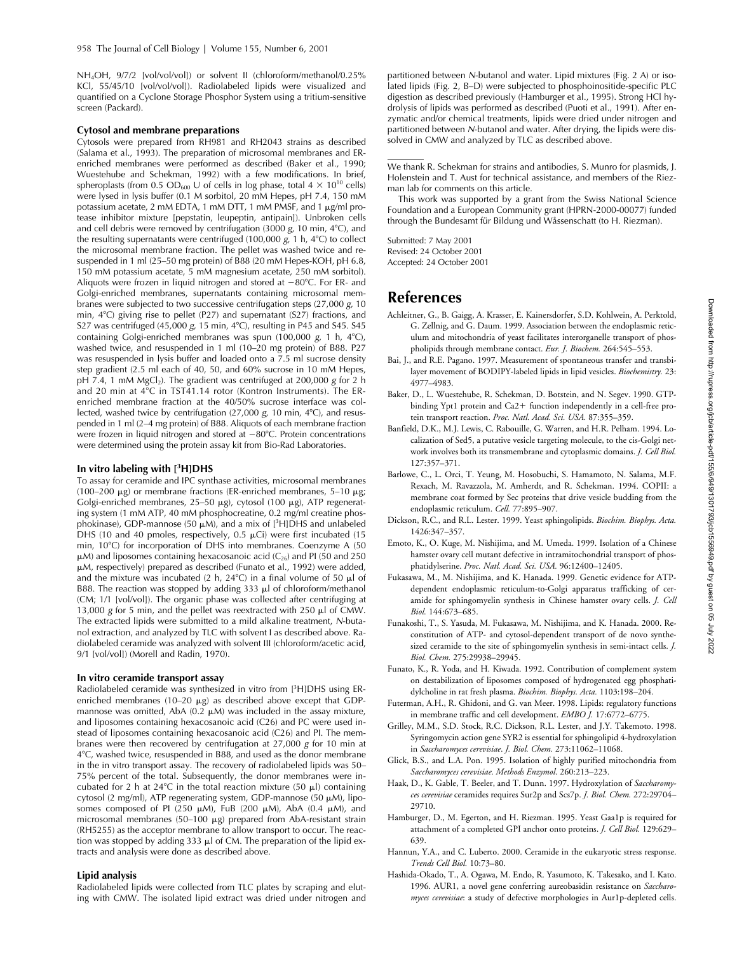NH<sub>4</sub>OH, 9/7/2 [vol/vol/vol]) or solvent II (chloroform/methanol/0.25% KCl, 55/45/10 [vol/vol/vol]). Radiolabeled lipids were visualized and quantified on a Cyclone Storage Phosphor System using a tritium-sensitive screen (Packard).

#### **Cytosol and membrane preparations**

Cytosols were prepared from RH981 and RH2043 strains as described (Salama et al., 1993). The preparation of microsomal membranes and ERenriched membranes were performed as described (Baker et al., 1990; Wuestehube and Schekman, 1992) with a few modifications. In brief, spheroplasts (from 0.5 OD<sub>600</sub> U of cells in log phase, total 4  $\times$  10<sup>10</sup> cells) were lysed in lysis buffer (0.1 M sorbitol, 20 mM Hepes, pH 7.4, 150 mM potassium acetate, 2 mM EDTA, 1 mM DTT, 1 mM PMSF, and 1  $\mu$ g/ml protease inhibitor mixture [pepstatin, leupeptin, antipain]). Unbroken cells and cell debris were removed by centrifugation (3000 *g,* 10 min, 4°C), and the resulting supernatants were centrifuged (100,000 *g*, 1 h, 4°C) to collect the microsomal membrane fraction. The pellet was washed twice and resuspended in 1 ml (25–50 mg protein) of B88 (20 mM Hepes-KOH, pH 6.8, 150 mM potassium acetate, 5 mM magnesium acetate, 250 mM sorbitol). Aliquots were frozen in liquid nitrogen and stored at -80°C. For ER- and Golgi-enriched membranes, supernatants containing microsomal membranes were subjected to two successive centrifugation steps (27,000 *g*, 10 min, 4°C) giving rise to pellet (P27) and supernatant (S27) fractions, and S27 was centrifuged (45,000 g, 15 min, 4°C), resulting in P45 and S45. S45 containing Golgi-enriched membranes was spun (100,000 *g*, 1 h, 4°C), washed twice, and resuspended in 1 ml (10–20 mg protein) of B88. P27 was resuspended in lysis buffer and loaded onto a 7.5 ml sucrose density step gradient (2.5 ml each of 40, 50, and 60% sucrose in 10 mM Hepes, pH 7.4, 1 mM MgCl<sub>2</sub>). The gradient was centrifuged at 200,000 g for 2 h and 20 min at 4°C in TST41.14 rotor (Kontron Instruments). The ERenriched membrane fraction at the 40/50% sucrose interface was collected, washed twice by centrifugation (27,000 g, 10 min, 4°C), and resuspended in 1 ml (2–4 mg protein) of B88. Aliquots of each membrane fraction were frozen in liquid nitrogen and stored at  $-80^{\circ}$ C. Protein concentrations were determined using the protein assay kit from Bio-Rad Laboratories.

#### **In vitro labeling with [<sup>3</sup> H]DHS**

To assay for ceramide and IPC synthase activities, microsomal membranes (100–200  $\mu$ g) or membrane fractions (ER-enriched membranes, 5–10  $\mu$ g; Golgi-enriched membranes, 25-50  $\mu$ g), cytosol (100  $\mu$ g), ATP regenerating system (1 mM ATP, 40 mM phosphocreatine, 0.2 mg/ml creatine phosphokinase), GDP-mannose (50  $\mu$ M), and a mix of [<sup>3</sup>H]DHS and unlabeled DHS (10 and 40 pmoles, respectively, 0.5  $\mu$ Ci) were first incubated (15 min, 10°C) for incorporation of DHS into membranes. Coenzyme A (50  $\mu$ M) and liposomes containing hexacosanoic acid (C<sub>26</sub>) and PI (50 and 250 M, respectively) prepared as described (Funato et al., 1992) were added, and the mixture was incubated (2 h, 24°C) in a final volume of 50  $\mu$ l of B88. The reaction was stopped by adding 333  $\mu$ l of chloroform/methanol (CM; 1/1 [vol/vol]). The organic phase was collected after centrifuging at 13,000  $g$  for 5 min, and the pellet was reextracted with 250  $\mu$ l of CMW. The extracted lipids were submitted to a mild alkaline treatment, *N*-butanol extraction, and analyzed by TLC with solvent I as described above. Radiolabeled ceramide was analyzed with solvent III (chloroform/acetic acid, 9/1 [vol/vol]) (Morell and Radin, 1970).

#### **In vitro ceramide transport assay**

Radiolabeled ceramide was synthesized in vitro from [<sup>3</sup>H]DHS using ERenriched membranes (10-20  $\mu$ g) as described above except that GDPmannose was omitted, AbA (0.2  $\mu$ M) was included in the assay mixture, and liposomes containing hexacosanoic acid (C26) and PC were used instead of liposomes containing hexacosanoic acid (C26) and PI. The membranes were then recovered by centrifugation at 27,000 *g* for 10 min at 4-C, washed twice, resuspended in B88, and used as the donor membrane in the in vitro transport assay. The recovery of radiolabeled lipids was 50– 75% percent of the total. Subsequently, the donor membranes were incubated for 2 h at 24 $\degree$ C in the total reaction mixture (50  $\mu$ l) containing cytosol (2 mg/ml), ATP regenerating system, GDP-mannose (50 µM), liposomes composed of PI (250  $\mu$ M), FuB (200  $\mu$ M), AbA (0.4  $\mu$ M), and microsomal membranes (50–100  $\mu$ g) prepared from AbA-resistant strain (RH5255) as the acceptor membrane to allow transport to occur. The reaction was stopped by adding 333  $\mu$ l of CM. The preparation of the lipid extracts and analysis were done as described above.

### **Lipid analysis**

Radiolabeled lipids were collected from TLC plates by scraping and eluting with CMW. The isolated lipid extract was dried under nitrogen and

partitioned between *N*-butanol and water. Lipid mixtures (Fig. 2 A) or isolated lipids (Fig. 2, B–D) were subjected to phosphoinositide-specific PLC digestion as described previously (Hamburger et al., 1995). Strong HCl hydrolysis of lipids was performed as described (Puoti et al., 1991). After enzymatic and/or chemical treatments, lipids were dried under nitrogen and partitioned between *N*-butanol and water. After drying, the lipids were dissolved in CMW and analyzed by TLC as described above.

We thank R. Schekman for strains and antibodies, S. Munro for plasmids, J. Holenstein and T. Aust for technical assistance, and members of the Riezman lab for comments on this article.

This work was supported by a grant from the Swiss National Science Foundation and a European Community grant (HPRN-2000-00077) funded through the Bundesamt für Bildung und Wåssenschatt (to H. Riezman).

Submitted: 7 May 2001 Revised: 24 October 2001 Accepted: 24 October 2001

# **References**

- Achleitner, G., B. Gaigg, A. Krasser, E. Kainersdorfer, S.D. Kohlwein, A. Perktold, G. Zellnig, and G. Daum. 1999. Association between the endoplasmic reticulum and mitochondria of yeast facilitates interorganelle transport of phospholipids through membrane contact. *Eur. J. Biochem.* 264:545–553.
- Bai, J., and R.E. Pagano. 1997. Measurement of spontaneous transfer and transbilayer movement of BODIPY-labeled lipids in lipid vesicles. *Biochemistry.* 23: 4977–4983.
- Baker, D., L. Wuestehube, R. Schekman, D. Botstein, and N. Segev. 1990. GTPbinding Ypt1 protein and Ca2+ function independently in a cell-free protein transport reaction. *Proc. Natl. Acad. Sci. USA.* 87:355–359.
- Banfield, D.K., M.J. Lewis, C. Rabouille, G. Warren, and H.R. Pelham. 1994. Localization of Sed5, a putative vesicle targeting molecule, to the cis-Golgi network involves both its transmembrane and cytoplasmic domains. *J. Cell Biol.* 127:357–371.
- Barlowe, C., L. Orci, T. Yeung, M. Hosobuchi, S. Hamamoto, N. Salama, M.F. Rexach, M. Ravazzola, M. Amherdt, and R. Schekman. 1994. COPII: a membrane coat formed by Sec proteins that drive vesicle budding from the endoplasmic reticulum. *Cell.* 77:895–907.
- Dickson, R.C., and R.L. Lester. 1999. Yeast sphingolipids. *Biochim. Biophys. Acta.* 1426:347–357.
- Emoto, K., O. Kuge, M. Nishijima, and M. Umeda. 1999. Isolation of a Chinese hamster ovary cell mutant defective in intramitochondrial transport of phosphatidylserine. *Proc. Natl. Acad. Sci. USA.* 96:12400–12405.
- Fukasawa, M., M. Nishijima, and K. Hanada. 1999. Genetic evidence for ATPdependent endoplasmic reticulum-to-Golgi apparatus trafficking of ceramide for sphingomyelin synthesis in Chinese hamster ovary cells. *J. Cell Biol.* 144:673–685.
- Funakoshi, T., S. Yasuda, M. Fukasawa, M. Nishijima, and K. Hanada. 2000. Reconstitution of ATP- and cytosol-dependent transport of de novo synthesized ceramide to the site of sphingomyelin synthesis in semi-intact cells. *J. Biol. Chem.* 275:29938–29945.
- Funato, K., R. Yoda, and H. Kiwada. 1992. Contribution of complement system on destabilization of liposomes composed of hydrogenated egg phosphatidylcholine in rat fresh plasma. *Biochim. Biophys. Acta.* 1103:198–204.
- Futerman, A.H., R. Ghidoni, and G. van Meer. 1998. Lipids: regulatory functions in membrane traffic and cell development. *EMBO J.* 17:6772–6775.
- Grilley, M.M., S.D. Stock, R.C. Dickson, R.L. Lester, and J.Y. Takemoto. 1998. Syringomycin action gene SYR2 is essential for sphingolipid 4-hydroxylation in *Saccharomyces cerevisiae*. *J. Biol. Chem.* 273:11062–11068.
- Glick, B.S., and L.A. Pon. 1995. Isolation of highly purified mitochondria from *Saccharomyces cerevisiae*. *Methods Enzymol*. 260:213–223.
- Haak, D., K. Gable, T. Beeler, and T. Dunn. 1997. Hydroxylation of *Saccharomyces cerevisiae* ceramides requires Sur2p and Scs7p. *J. Biol. Chem.* 272:29704– 29710.
- Hamburger, D., M. Egerton, and H. Riezman. 1995. Yeast Gaa1p is required for attachment of a completed GPI anchor onto proteins. *J. Cell Biol.* 129:629– 639.
- Hannun, Y.A., and C. Luberto. 2000. Ceramide in the eukaryotic stress response. *Trends Cell Biol.* 10:73–80.
- Hashida-Okado, T., A. Ogawa, M. Endo, R. Yasumoto, K. Takesako, and I. Kato. 1996. AUR1, a novel gene conferring aureobasidin resistance on *Saccharomyces cerevisiae*: a study of defective morphologies in Aur1p-depleted cells.